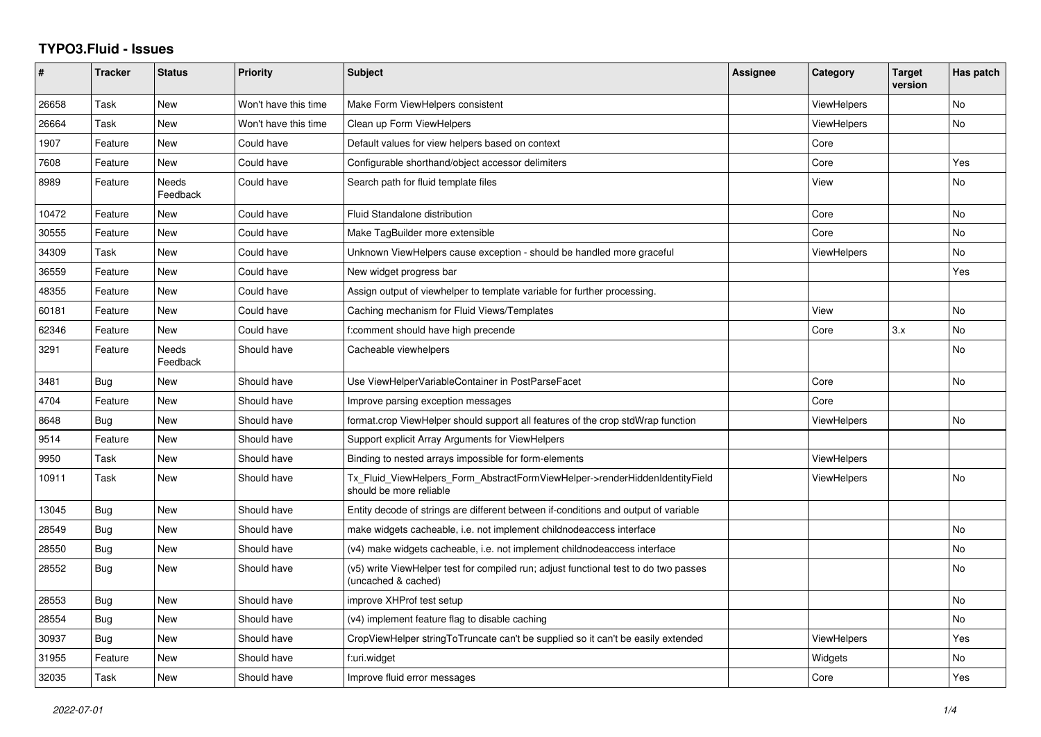## **TYPO3.Fluid - Issues**

| #     | <b>Tracker</b> | <b>Status</b>     | <b>Priority</b>      | Subject                                                                                                     | Assignee | Category           | <b>Target</b><br>version | Has patch      |
|-------|----------------|-------------------|----------------------|-------------------------------------------------------------------------------------------------------------|----------|--------------------|--------------------------|----------------|
| 26658 | Task           | New               | Won't have this time | Make Form ViewHelpers consistent                                                                            |          | <b>ViewHelpers</b> |                          | No             |
| 26664 | Task           | New               | Won't have this time | Clean up Form ViewHelpers                                                                                   |          | <b>ViewHelpers</b> |                          | <b>No</b>      |
| 1907  | Feature        | New               | Could have           | Default values for view helpers based on context                                                            |          | Core               |                          |                |
| 7608  | Feature        | New               | Could have           | Configurable shorthand/object accessor delimiters                                                           |          | Core               |                          | Yes            |
| 8989  | Feature        | Needs<br>Feedback | Could have           | Search path for fluid template files                                                                        |          | View               |                          | No             |
| 10472 | Feature        | New               | Could have           | Fluid Standalone distribution                                                                               |          | Core               |                          | No             |
| 30555 | Feature        | New               | Could have           | Make TagBuilder more extensible                                                                             |          | Core               |                          | No             |
| 34309 | Task           | New               | Could have           | Unknown ViewHelpers cause exception - should be handled more graceful                                       |          | <b>ViewHelpers</b> |                          | No             |
| 36559 | Feature        | New               | Could have           | New widget progress bar                                                                                     |          |                    |                          | Yes            |
| 48355 | Feature        | New               | Could have           | Assign output of viewhelper to template variable for further processing.                                    |          |                    |                          |                |
| 60181 | Feature        | <b>New</b>        | Could have           | Caching mechanism for Fluid Views/Templates                                                                 |          | View               |                          | <b>No</b>      |
| 62346 | Feature        | New               | Could have           | f:comment should have high precende                                                                         |          | Core               | 3.x                      | N <sub>o</sub> |
| 3291  | Feature        | Needs<br>Feedback | Should have          | Cacheable viewhelpers                                                                                       |          |                    |                          | No             |
| 3481  | <b>Bug</b>     | New               | Should have          | Use ViewHelperVariableContainer in PostParseFacet                                                           |          | Core               |                          | <b>No</b>      |
| 4704  | Feature        | New               | Should have          | Improve parsing exception messages                                                                          |          | Core               |                          |                |
| 8648  | <b>Bug</b>     | New               | Should have          | format.crop ViewHelper should support all features of the crop stdWrap function                             |          | <b>ViewHelpers</b> |                          | <b>No</b>      |
| 9514  | Feature        | New               | Should have          | Support explicit Array Arguments for ViewHelpers                                                            |          |                    |                          |                |
| 9950  | Task           | New               | Should have          | Binding to nested arrays impossible for form-elements                                                       |          | <b>ViewHelpers</b> |                          |                |
| 10911 | Task           | New               | Should have          | Tx Fluid ViewHelpers Form AbstractFormViewHelper->renderHiddenIdentityField<br>should be more reliable      |          | <b>ViewHelpers</b> |                          | No             |
| 13045 | <b>Bug</b>     | New               | Should have          | Entity decode of strings are different between if-conditions and output of variable                         |          |                    |                          |                |
| 28549 | <b>Bug</b>     | New               | Should have          | make widgets cacheable, i.e. not implement childnodeaccess interface                                        |          |                    |                          | <b>No</b>      |
| 28550 | Bug            | New               | Should have          | (v4) make widgets cacheable, i.e. not implement childnodeaccess interface                                   |          |                    |                          | No             |
| 28552 | <b>Bug</b>     | New               | Should have          | (v5) write ViewHelper test for compiled run; adjust functional test to do two passes<br>(uncached & cached) |          |                    |                          | <b>No</b>      |
| 28553 | <b>Bug</b>     | New               | Should have          | improve XHProf test setup                                                                                   |          |                    |                          | No.            |
| 28554 | Bug            | New               | Should have          | (v4) implement feature flag to disable caching                                                              |          |                    |                          | No             |
| 30937 | Bug            | New               | Should have          | CropViewHelper stringToTruncate can't be supplied so it can't be easily extended                            |          | <b>ViewHelpers</b> |                          | Yes            |
| 31955 | Feature        | New               | Should have          | f:uri.widget                                                                                                |          | Widgets            |                          | No             |
| 32035 | Task           | New               | Should have          | Improve fluid error messages                                                                                |          | Core               |                          | Yes            |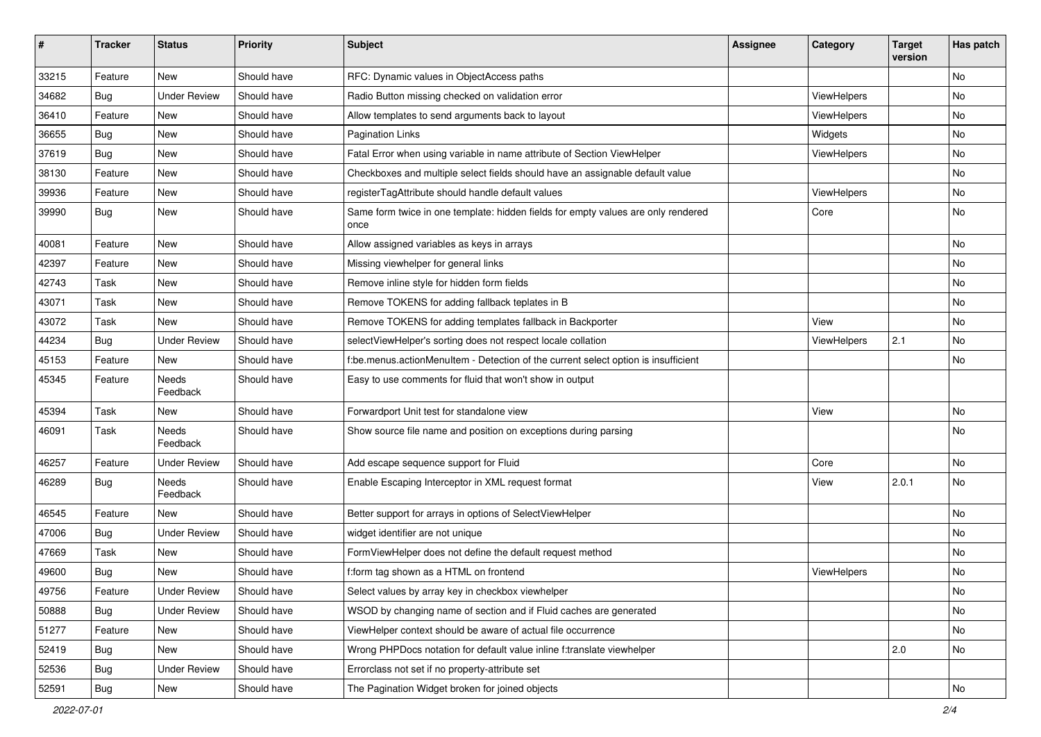| #     | <b>Tracker</b> | <b>Status</b>            | <b>Priority</b> | <b>Subject</b>                                                                            | <b>Assignee</b> | Category    | <b>Target</b><br>version | Has patch |
|-------|----------------|--------------------------|-----------------|-------------------------------------------------------------------------------------------|-----------------|-------------|--------------------------|-----------|
| 33215 | Feature        | New                      | Should have     | RFC: Dynamic values in ObjectAccess paths                                                 |                 |             |                          | <b>No</b> |
| 34682 | Bug            | <b>Under Review</b>      | Should have     | Radio Button missing checked on validation error                                          |                 | ViewHelpers |                          | No        |
| 36410 | Feature        | New                      | Should have     | Allow templates to send arguments back to layout                                          |                 | ViewHelpers |                          | No        |
| 36655 | Bug            | New                      | Should have     | <b>Pagination Links</b>                                                                   |                 | Widgets     |                          | No        |
| 37619 | Bug            | New                      | Should have     | Fatal Error when using variable in name attribute of Section ViewHelper                   |                 | ViewHelpers |                          | No        |
| 38130 | Feature        | New                      | Should have     | Checkboxes and multiple select fields should have an assignable default value             |                 |             |                          | No        |
| 39936 | Feature        | New                      | Should have     | registerTagAttribute should handle default values                                         |                 | ViewHelpers |                          | No        |
| 39990 | Bug            | New                      | Should have     | Same form twice in one template: hidden fields for empty values are only rendered<br>once |                 | Core        |                          | No        |
| 40081 | Feature        | New                      | Should have     | Allow assigned variables as keys in arrays                                                |                 |             |                          | No        |
| 42397 | Feature        | New                      | Should have     | Missing viewhelper for general links                                                      |                 |             |                          | <b>No</b> |
| 42743 | Task           | New                      | Should have     | Remove inline style for hidden form fields                                                |                 |             |                          | No        |
| 43071 | Task           | New                      | Should have     | Remove TOKENS for adding fallback teplates in B                                           |                 |             |                          | No        |
| 43072 | Task           | New                      | Should have     | Remove TOKENS for adding templates fallback in Backporter                                 |                 | View        |                          | No        |
| 44234 | Bug            | <b>Under Review</b>      | Should have     | selectViewHelper's sorting does not respect locale collation                              |                 | ViewHelpers | 2.1                      | No        |
| 45153 | Feature        | New                      | Should have     | f:be.menus.actionMenuItem - Detection of the current select option is insufficient        |                 |             |                          | No        |
| 45345 | Feature        | <b>Needs</b><br>Feedback | Should have     | Easy to use comments for fluid that won't show in output                                  |                 |             |                          |           |
| 45394 | Task           | New                      | Should have     | Forwardport Unit test for standalone view                                                 |                 | View        |                          | <b>No</b> |
| 46091 | Task           | Needs<br>Feedback        | Should have     | Show source file name and position on exceptions during parsing                           |                 |             |                          | No        |
| 46257 | Feature        | <b>Under Review</b>      | Should have     | Add escape sequence support for Fluid                                                     |                 | Core        |                          | No        |
| 46289 | Bug            | Needs<br>Feedback        | Should have     | Enable Escaping Interceptor in XML request format                                         |                 | View        | 2.0.1                    | No        |
| 46545 | Feature        | <b>New</b>               | Should have     | Better support for arrays in options of SelectViewHelper                                  |                 |             |                          | <b>No</b> |
| 47006 | Bug            | <b>Under Review</b>      | Should have     | widget identifier are not unique                                                          |                 |             |                          | No        |
| 47669 | Task           | New                      | Should have     | FormViewHelper does not define the default request method                                 |                 |             |                          | <b>No</b> |
| 49600 | <b>Bug</b>     | New                      | Should have     | f:form tag shown as a HTML on frontend                                                    |                 | ViewHelpers |                          | No        |
| 49756 | Feature        | <b>Under Review</b>      | Should have     | Select values by array key in checkbox viewhelper                                         |                 |             |                          | No        |
| 50888 | <b>Bug</b>     | <b>Under Review</b>      | Should have     | WSOD by changing name of section and if Fluid caches are generated                        |                 |             |                          | No        |
| 51277 | Feature        | New                      | Should have     | ViewHelper context should be aware of actual file occurrence                              |                 |             |                          | No        |
| 52419 | Bug            | New                      | Should have     | Wrong PHPDocs notation for default value inline f:translate viewhelper                    |                 |             | $\vert$ 2.0              | No        |
| 52536 | Bug            | <b>Under Review</b>      | Should have     | Errorclass not set if no property-attribute set                                           |                 |             |                          |           |
| 52591 | Bug            | New                      | Should have     | The Pagination Widget broken for joined objects                                           |                 |             |                          | No        |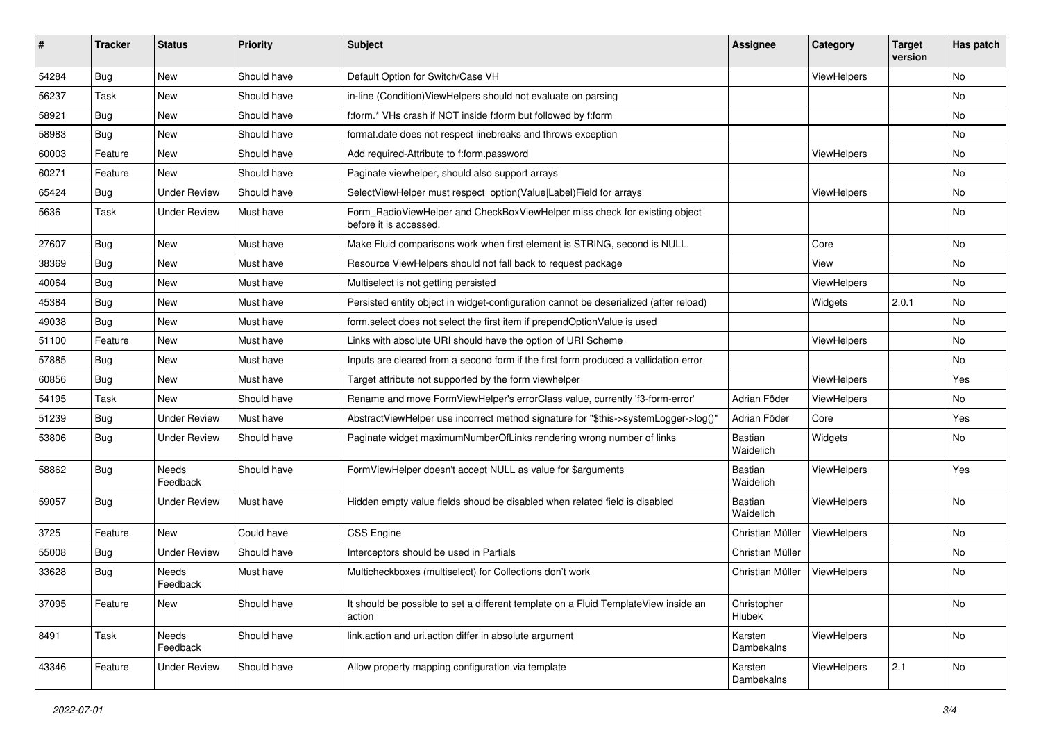| #     | <b>Tracker</b> | <b>Status</b>       | <b>Priority</b> | <b>Subject</b>                                                                                       | <b>Assignee</b>             | Category    | <b>Target</b><br>version | Has patch |
|-------|----------------|---------------------|-----------------|------------------------------------------------------------------------------------------------------|-----------------------------|-------------|--------------------------|-----------|
| 54284 | Bug            | New                 | Should have     | Default Option for Switch/Case VH                                                                    |                             | ViewHelpers |                          | <b>No</b> |
| 56237 | Task           | New                 | Should have     | in-line (Condition) View Helpers should not evaluate on parsing                                      |                             |             |                          | No        |
| 58921 | Bug            | New                 | Should have     | f:form.* VHs crash if NOT inside f:form but followed by f:form                                       |                             |             |                          | No        |
| 58983 | Bug            | New                 | Should have     | format.date does not respect linebreaks and throws exception                                         |                             |             |                          | No        |
| 60003 | Feature        | New                 | Should have     | Add required-Attribute to f:form.password                                                            |                             | ViewHelpers |                          | No        |
| 60271 | Feature        | New                 | Should have     | Paginate viewhelper, should also support arrays                                                      |                             |             |                          | No        |
| 65424 | Bug            | <b>Under Review</b> | Should have     | SelectViewHelper must respect option(Value Label)Field for arrays                                    |                             | ViewHelpers |                          | No        |
| 5636  | Task           | Under Review        | Must have       | Form RadioViewHelper and CheckBoxViewHelper miss check for existing object<br>before it is accessed. |                             |             |                          | No        |
| 27607 | Bug            | New                 | Must have       | Make Fluid comparisons work when first element is STRING, second is NULL.                            |                             | Core        |                          | No        |
| 38369 | Bug            | New                 | Must have       | Resource ViewHelpers should not fall back to request package                                         |                             | View        |                          | No        |
| 40064 | Bug            | New                 | Must have       | Multiselect is not getting persisted                                                                 |                             | ViewHelpers |                          | No        |
| 45384 | Bug            | New                 | Must have       | Persisted entity object in widget-configuration cannot be deserialized (after reload)                |                             | Widgets     | 2.0.1                    | No        |
| 49038 | Bug            | New                 | Must have       | form.select does not select the first item if prependOptionValue is used                             |                             |             |                          | No        |
| 51100 | Feature        | New                 | Must have       | Links with absolute URI should have the option of URI Scheme                                         |                             | ViewHelpers |                          | No        |
| 57885 | Bug            | New                 | Must have       | Inputs are cleared from a second form if the first form produced a vallidation error                 |                             |             |                          | No        |
| 60856 | Bug            | <b>New</b>          | Must have       | Target attribute not supported by the form viewhelper                                                |                             | ViewHelpers |                          | Yes       |
| 54195 | Task           | New                 | Should have     | Rename and move FormViewHelper's errorClass value, currently 'f3-form-error'                         | Adrian Föder                | ViewHelpers |                          | No        |
| 51239 | Bug            | <b>Under Review</b> | Must have       | AbstractViewHelper use incorrect method signature for "\$this->systemLogger->log()"                  | Adrian Föder                | Core        |                          | Yes       |
| 53806 | Bug            | Under Review        | Should have     | Paginate widget maximumNumberOfLinks rendering wrong number of links                                 | Bastian<br>Waidelich        | Widgets     |                          | No        |
| 58862 | Bug            | Needs<br>Feedback   | Should have     | FormViewHelper doesn't accept NULL as value for \$arguments                                          | <b>Bastian</b><br>Waidelich | ViewHelpers |                          | Yes       |
| 59057 | Bug            | Under Review        | Must have       | Hidden empty value fields shoud be disabled when related field is disabled                           | Bastian<br>Waidelich        | ViewHelpers |                          | <b>No</b> |
| 3725  | Feature        | <b>New</b>          | Could have      | CSS Engine                                                                                           | Christian Müller            | ViewHelpers |                          | No        |
| 55008 | Bug            | <b>Under Review</b> | Should have     | Interceptors should be used in Partials                                                              | Christian Müller            |             |                          | No        |
| 33628 | Bug            | Needs<br>Feedback   | Must have       | Multicheckboxes (multiselect) for Collections don't work                                             | Christian Müller            | ViewHelpers |                          | No        |
| 37095 | Feature        | New                 | Should have     | It should be possible to set a different template on a Fluid TemplateView inside an<br>action        | Christopher<br>Hlubek       |             |                          | No        |
| 8491  | Task           | Needs<br>Feedback   | Should have     | link.action and uri.action differ in absolute argument                                               | Karsten<br>Dambekalns       | ViewHelpers |                          | No        |
| 43346 | Feature        | <b>Under Review</b> | Should have     | Allow property mapping configuration via template                                                    | Karsten<br>Dambekalns       | ViewHelpers | 2.1                      | No        |